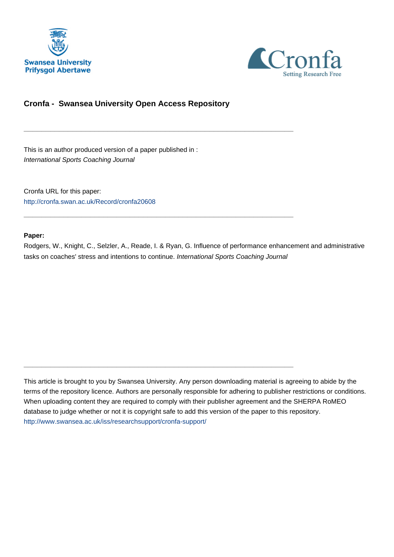



# **Cronfa - Swansea University Open Access Repository**

\_\_\_\_\_\_\_\_\_\_\_\_\_\_\_\_\_\_\_\_\_\_\_\_\_\_\_\_\_\_\_\_\_\_\_\_\_\_\_\_\_\_\_\_\_\_\_\_\_\_\_\_\_\_\_\_\_\_\_\_\_

 $\_$  , and the set of the set of the set of the set of the set of the set of the set of the set of the set of the set of the set of the set of the set of the set of the set of the set of the set of the set of the set of th

\_\_\_\_\_\_\_\_\_\_\_\_\_\_\_\_\_\_\_\_\_\_\_\_\_\_\_\_\_\_\_\_\_\_\_\_\_\_\_\_\_\_\_\_\_\_\_\_\_\_\_\_\_\_\_\_\_\_\_\_\_

This is an author produced version of a paper published in : International Sports Coaching Journal

Cronfa URL for this paper: <http://cronfa.swan.ac.uk/Record/cronfa20608>

#### **Paper:**

Rodgers, W., Knight, C., Selzler, A., Reade, I. & Ryan, G. Influence of performance enhancement and administrative tasks on coaches' stress and intentions to continue. International Sports Coaching Journal

This article is brought to you by Swansea University. Any person downloading material is agreeing to abide by the terms of the repository licence. Authors are personally responsible for adhering to publisher restrictions or conditions. When uploading content they are required to comply with their publisher agreement and the SHERPA RoMEO database to judge whether or not it is copyright safe to add this version of the paper to this repository. [http://www.swansea.ac.uk/iss/researchsupport/cronfa-support/](http://www.swansea.ac.uk/iss/researchsupport/cronfa-support/ )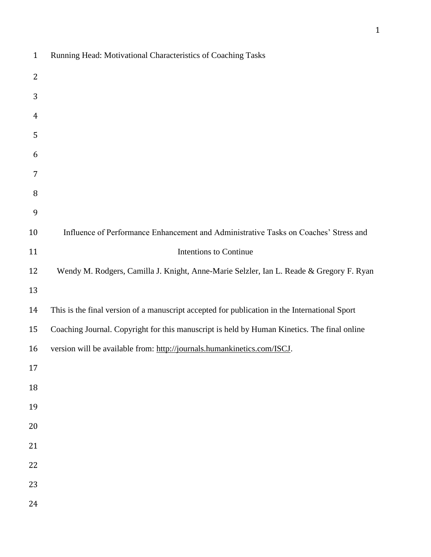| $\mathbf{1}$   | Running Head: Motivational Characteristics of Coaching Tasks                                  |
|----------------|-----------------------------------------------------------------------------------------------|
| $\overline{2}$ |                                                                                               |
| 3              |                                                                                               |
| 4              |                                                                                               |
| 5              |                                                                                               |
| 6              |                                                                                               |
| 7              |                                                                                               |
| 8              |                                                                                               |
| 9              |                                                                                               |
| 10             | Influence of Performance Enhancement and Administrative Tasks on Coaches' Stress and          |
| 11             | Intentions to Continue                                                                        |
| 12             | Wendy M. Rodgers, Camilla J. Knight, Anne-Marie Selzler, Ian L. Reade & Gregory F. Ryan       |
| 13             |                                                                                               |
| 14             | This is the final version of a manuscript accepted for publication in the International Sport |
| 15             | Coaching Journal. Copyright for this manuscript is held by Human Kinetics. The final online   |
| 16             | version will be available from: http://journals.humankinetics.com/ISCJ.                       |
| 17             |                                                                                               |
| 18             |                                                                                               |
| 19             |                                                                                               |
| 20             |                                                                                               |
| 21             |                                                                                               |
| 22             |                                                                                               |
| 23             |                                                                                               |
| 24             |                                                                                               |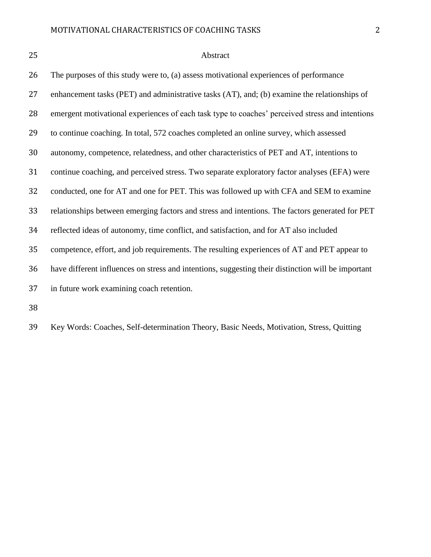# Abstract

| 26 | The purposes of this study were to, (a) assess motivational experiences of performance             |
|----|----------------------------------------------------------------------------------------------------|
| 27 | enhancement tasks (PET) and administrative tasks (AT), and; (b) examine the relationships of       |
| 28 | emergent motivational experiences of each task type to coaches' perceived stress and intentions    |
| 29 | to continue coaching. In total, 572 coaches completed an online survey, which assessed             |
| 30 | autonomy, competence, relatedness, and other characteristics of PET and AT, intentions to          |
| 31 | continue coaching, and perceived stress. Two separate exploratory factor analyses (EFA) were       |
| 32 | conducted, one for AT and one for PET. This was followed up with CFA and SEM to examine            |
| 33 | relationships between emerging factors and stress and intentions. The factors generated for PET    |
| 34 | reflected ideas of autonomy, time conflict, and satisfaction, and for AT also included             |
| 35 | competence, effort, and job requirements. The resulting experiences of AT and PET appear to        |
| 36 | have different influences on stress and intentions, suggesting their distinction will be important |
| 37 | in future work examining coach retention.                                                          |
| 38 |                                                                                                    |

Key Words: Coaches, Self-determination Theory, Basic Needs, Motivation, Stress, Quitting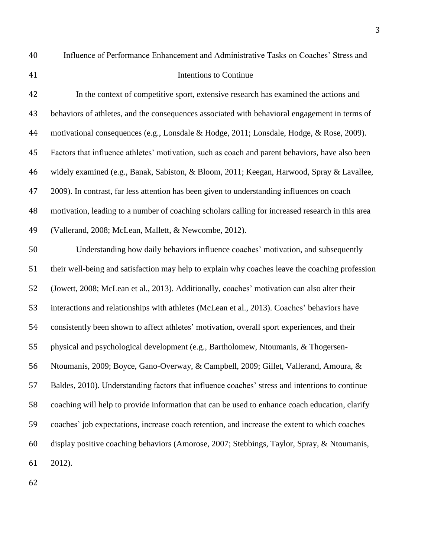Influence of Performance Enhancement and Administrative Tasks on Coaches' Stress and

# Intentions to Continue

| 42 | In the context of competitive sport, extensive research has examined the actions and             |
|----|--------------------------------------------------------------------------------------------------|
| 43 | behaviors of athletes, and the consequences associated with behavioral engagement in terms of    |
| 44 | motivational consequences (e.g., Lonsdale & Hodge, 2011; Lonsdale, Hodge, & Rose, 2009).         |
| 45 | Factors that influence athletes' motivation, such as coach and parent behaviors, have also been  |
| 46 | widely examined (e.g., Banak, Sabiston, & Bloom, 2011; Keegan, Harwood, Spray & Lavallee,        |
| 47 | 2009). In contrast, far less attention has been given to understanding influences on coach       |
| 48 | motivation, leading to a number of coaching scholars calling for increased research in this area |
| 49 | (Vallerand, 2008; McLean, Mallett, & Newcombe, 2012).                                            |
| 50 | Understanding how daily behaviors influence coaches' motivation, and subsequently                |
| 51 | their well-being and satisfaction may help to explain why coaches leave the coaching profession  |
| 52 | (Jowett, 2008; McLean et al., 2013). Additionally, coaches' motivation can also alter their      |
| 53 | interactions and relationships with athletes (McLean et al., 2013). Coaches' behaviors have      |
| 54 | consistently been shown to affect athletes' motivation, overall sport experiences, and their     |
| 55 | physical and psychological development (e.g., Bartholomew, Ntoumanis, & Thogersen-               |
| 56 | Ntoumanis, 2009; Boyce, Gano-Overway, & Campbell, 2009; Gillet, Vallerand, Amoura, &             |
| 57 | Baldes, 2010). Understanding factors that influence coaches' stress and intentions to continue   |
| 58 | coaching will help to provide information that can be used to enhance coach education, clarify   |
| 59 | coaches' job expectations, increase coach retention, and increase the extent to which coaches    |
| 60 | display positive coaching behaviors (Amorose, 2007; Stebbings, Taylor, Spray, & Ntoumanis,       |
| 61 | 2012).                                                                                           |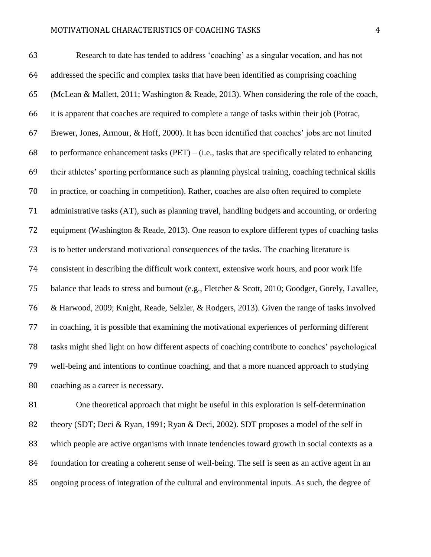Research to date has tended to address 'coaching' as a singular vocation, and has not addressed the specific and complex tasks that have been identified as comprising coaching (McLean & Mallett, 2011; Washington & Reade, 2013). When considering the role of the coach, it is apparent that coaches are required to complete a range of tasks within their job (Potrac, Brewer, Jones, Armour, & Hoff, 2000). It has been identified that coaches' jobs are not limited 68 to performance enhancement tasks (PET) – (i.e., tasks that are specifically related to enhancing their athletes' sporting performance such as planning physical training, coaching technical skills in practice, or coaching in competition). Rather, coaches are also often required to complete administrative tasks (AT), such as planning travel, handling budgets and accounting, or ordering equipment (Washington & Reade, 2013). One reason to explore different types of coaching tasks is to better understand motivational consequences of the tasks. The coaching literature is consistent in describing the difficult work context, extensive work hours, and poor work life balance that leads to stress and burnout (e.g., Fletcher & Scott, 2010; Goodger, Gorely, Lavallee, & Harwood, 2009; Knight, Reade, Selzler, & Rodgers, 2013). Given the range of tasks involved in coaching, it is possible that examining the motivational experiences of performing different tasks might shed light on how different aspects of coaching contribute to coaches' psychological well-being and intentions to continue coaching, and that a more nuanced approach to studying coaching as a career is necessary.

 One theoretical approach that might be useful in this exploration is self-determination theory (SDT; Deci & Ryan, 1991; Ryan & Deci, 2002). SDT proposes a model of the self in which people are active organisms with innate tendencies toward growth in social contexts as a foundation for creating a coherent sense of well-being. The self is seen as an active agent in an ongoing process of integration of the cultural and environmental inputs. As such, the degree of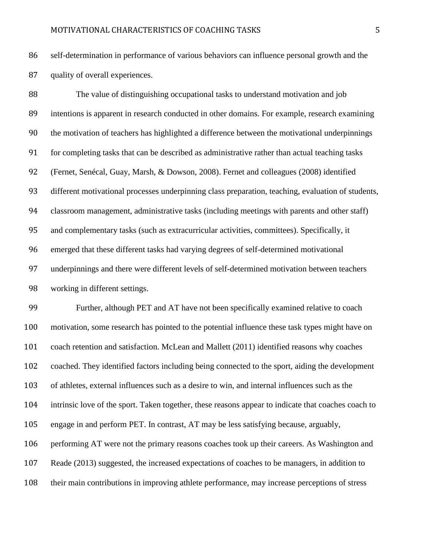self-determination in performance of various behaviors can influence personal growth and the quality of overall experiences.

 The value of distinguishing occupational tasks to understand motivation and job intentions is apparent in research conducted in other domains. For example, research examining the motivation of teachers has highlighted a difference between the motivational underpinnings for completing tasks that can be described as administrative rather than actual teaching tasks (Fernet, Senécal, Guay, Marsh, & Dowson, 2008). Fernet and colleagues (2008) identified different motivational processes underpinning class preparation, teaching, evaluation of students, classroom management, administrative tasks (including meetings with parents and other staff) and complementary tasks (such as extracurricular activities, committees). Specifically, it emerged that these different tasks had varying degrees of self-determined motivational underpinnings and there were different levels of self-determined motivation between teachers working in different settings.

 Further, although PET and AT have not been specifically examined relative to coach motivation, some research has pointed to the potential influence these task types might have on coach retention and satisfaction. McLean and Mallett (2011) identified reasons why coaches coached. They identified factors including being connected to the sport, aiding the development of athletes, external influences such as a desire to win, and internal influences such as the 104 intrinsic love of the sport. Taken together, these reasons appear to indicate that coaches coach to engage in and perform PET. In contrast, AT may be less satisfying because, arguably, performing AT were not the primary reasons coaches took up their careers. As Washington and Reade (2013) suggested, the increased expectations of coaches to be managers, in addition to their main contributions in improving athlete performance, may increase perceptions of stress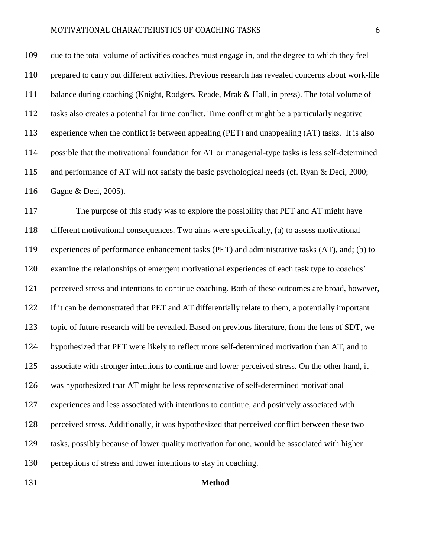due to the total volume of activities coaches must engage in, and the degree to which they feel prepared to carry out different activities. Previous research has revealed concerns about work-life balance during coaching (Knight, Rodgers, Reade, Mrak & Hall, in press). The total volume of tasks also creates a potential for time conflict. Time conflict might be a particularly negative experience when the conflict is between appealing (PET) and unappealing (AT) tasks. It is also possible that the motivational foundation for AT or managerial-type tasks is less self-determined and performance of AT will not satisfy the basic psychological needs (cf. Ryan & Deci, 2000; Gagne & Deci, 2005).

 The purpose of this study was to explore the possibility that PET and AT might have different motivational consequences. Two aims were specifically, (a) to assess motivational experiences of performance enhancement tasks (PET) and administrative tasks (AT), and; (b) to examine the relationships of emergent motivational experiences of each task type to coaches' perceived stress and intentions to continue coaching. Both of these outcomes are broad, however, if it can be demonstrated that PET and AT differentially relate to them, a potentially important topic of future research will be revealed. Based on previous literature, from the lens of SDT, we hypothesized that PET were likely to reflect more self-determined motivation than AT, and to associate with stronger intentions to continue and lower perceived stress. On the other hand, it was hypothesized that AT might be less representative of self-determined motivational experiences and less associated with intentions to continue, and positively associated with perceived stress. Additionally, it was hypothesized that perceived conflict between these two tasks, possibly because of lower quality motivation for one, would be associated with higher perceptions of stress and lower intentions to stay in coaching.

#### **Method**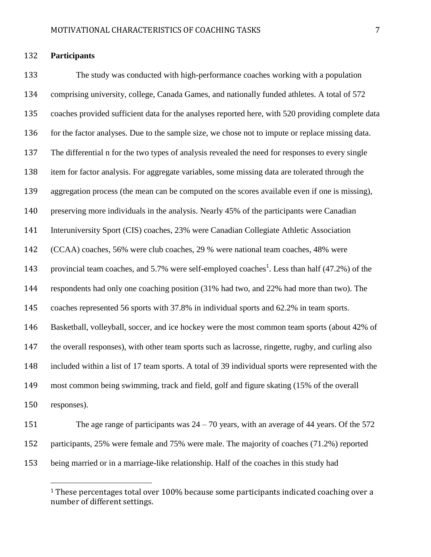#### **Participants**

 $\overline{a}$ 

 The study was conducted with high-performance coaches working with a population comprising university, college, Canada Games, and nationally funded athletes. A total of 572 coaches provided sufficient data for the analyses reported here, with 520 providing complete data for the factor analyses. Due to the sample size, we chose not to impute or replace missing data. The differential n for the two types of analysis revealed the need for responses to every single item for factor analysis. For aggregate variables, some missing data are tolerated through the aggregation process (the mean can be computed on the scores available even if one is missing), preserving more individuals in the analysis. Nearly 45% of the participants were Canadian Interuniversity Sport (CIS) coaches, 23% were Canadian Collegiate Athletic Association (CCAA) coaches, 56% were club coaches, 29 % were national team coaches, 48% were 143 provincial team coaches, and 5.7% were self-employed coaches<sup>1</sup>. Less than half (47.2%) of the respondents had only one coaching position (31% had two, and 22% had more than two). The coaches represented 56 sports with 37.8% in individual sports and 62.2% in team sports. Basketball, volleyball, soccer, and ice hockey were the most common team sports (about 42% of the overall responses), with other team sports such as lacrosse, ringette, rugby, and curling also included within a list of 17 team sports. A total of 39 individual sports were represented with the most common being swimming, track and field, golf and figure skating (15% of the overall responses).

 The age range of participants was 24 – 70 years, with an average of 44 years. Of the 572 participants, 25% were female and 75% were male. The majority of coaches (71.2%) reported being married or in a marriage-like relationship. Half of the coaches in this study had

<sup>&</sup>lt;sup>1</sup> These percentages total over 100% because some participants indicated coaching over a number of different settings.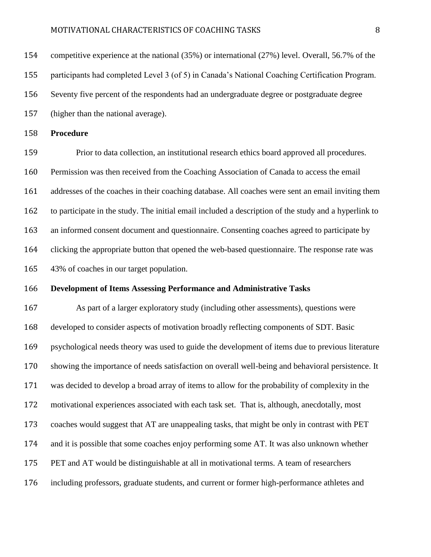| 154 | competitive experience at the national $(35%)$ or international $(27%)$ level. Overall, 56.7% of the  |
|-----|-------------------------------------------------------------------------------------------------------|
| 155 | participants had completed Level 3 (of 5) in Canada's National Coaching Certification Program.        |
| 156 | Seventy five percent of the respondents had an undergraduate degree or postgraduate degree            |
| 157 | (higher than the national average).                                                                   |
| 158 | <b>Procedure</b>                                                                                      |
| 159 | Prior to data collection, an institutional research ethics board approved all procedures.             |
| 160 |                                                                                                       |
|     | Permission was then received from the Coaching Association of Canada to access the email              |
| 161 | addresses of the coaches in their coaching database. All coaches were sent an email inviting them     |
| 162 | to participate in the study. The initial email included a description of the study and a hyperlink to |

clicking the appropriate button that opened the web-based questionnaire. The response rate was

43% of coaches in our target population.

#### **Development of Items Assessing Performance and Administrative Tasks**

 As part of a larger exploratory study (including other assessments), questions were developed to consider aspects of motivation broadly reflecting components of SDT. Basic psychological needs theory was used to guide the development of items due to previous literature showing the importance of needs satisfaction on overall well-being and behavioral persistence. It was decided to develop a broad array of items to allow for the probability of complexity in the motivational experiences associated with each task set. That is, although, anecdotally, most coaches would suggest that AT are unappealing tasks, that might be only in contrast with PET and it is possible that some coaches enjoy performing some AT. It was also unknown whether PET and AT would be distinguishable at all in motivational terms. A team of researchers including professors, graduate students, and current or former high-performance athletes and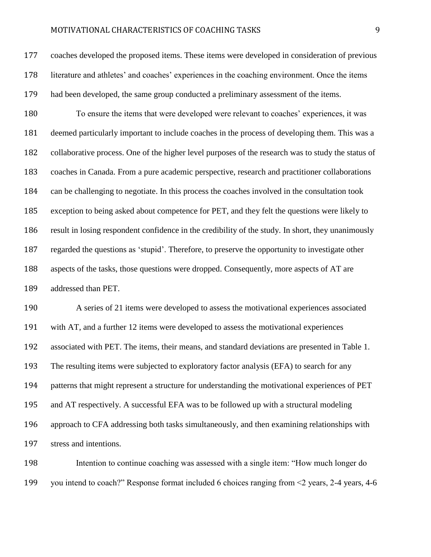coaches developed the proposed items. These items were developed in consideration of previous literature and athletes' and coaches' experiences in the coaching environment. Once the items had been developed, the same group conducted a preliminary assessment of the items.

 To ensure the items that were developed were relevant to coaches' experiences, it was deemed particularly important to include coaches in the process of developing them. This was a collaborative process. One of the higher level purposes of the research was to study the status of coaches in Canada. From a pure academic perspective, research and practitioner collaborations can be challenging to negotiate. In this process the coaches involved in the consultation took exception to being asked about competence for PET, and they felt the questions were likely to result in losing respondent confidence in the credibility of the study. In short, they unanimously regarded the questions as 'stupid'. Therefore, to preserve the opportunity to investigate other aspects of the tasks, those questions were dropped. Consequently, more aspects of AT are addressed than PET.

 A series of 21 items were developed to assess the motivational experiences associated with AT, and a further 12 items were developed to assess the motivational experiences associated with PET. The items, their means, and standard deviations are presented in Table 1. The resulting items were subjected to exploratory factor analysis (EFA) to search for any patterns that might represent a structure for understanding the motivational experiences of PET and AT respectively. A successful EFA was to be followed up with a structural modeling approach to CFA addressing both tasks simultaneously, and then examining relationships with stress and intentions.

 Intention to continue coaching was assessed with a single item: "How much longer do you intend to coach?" Response format included 6 choices ranging from <2 years, 2-4 years, 4-6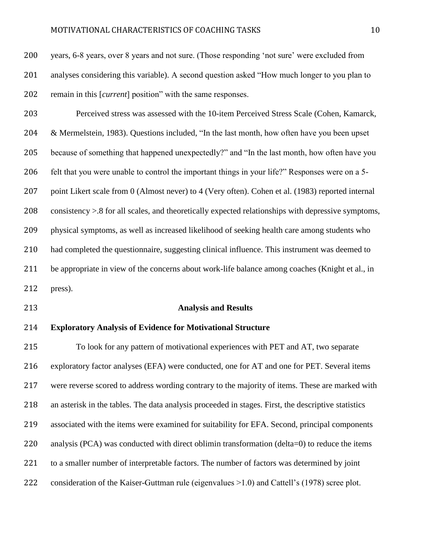years, 6-8 years, over 8 years and not sure. (Those responding 'not sure' were excluded from analyses considering this variable). A second question asked "How much longer to you plan to remain in this [*current*] position" with the same responses.

 Perceived stress was assessed with the 10-item Perceived Stress Scale (Cohen, Kamarck, & Mermelstein, 1983). Questions included, "In the last month, how often have you been upset because of something that happened unexpectedly?" and "In the last month, how often have you felt that you were unable to control the important things in your life?" Responses were on a 5- 207 point Likert scale from 0 (Almost never) to 4 (Very often). Cohen et al. (1983) reported internal consistency >.8 for all scales, and theoretically expected relationships with depressive symptoms, physical symptoms, as well as increased likelihood of seeking health care among students who had completed the questionnaire, suggesting clinical influence. This instrument was deemed to 211 be appropriate in view of the concerns about work-life balance among coaches (Knight et al., in press).

### **Analysis and Results**

### **Exploratory Analysis of Evidence for Motivational Structure**

 To look for any pattern of motivational experiences with PET and AT, two separate exploratory factor analyses (EFA) were conducted, one for AT and one for PET. Several items were reverse scored to address wording contrary to the majority of items. These are marked with an asterisk in the tables. The data analysis proceeded in stages. First, the descriptive statistics associated with the items were examined for suitability for EFA. Second, principal components 220 analysis (PCA) was conducted with direct oblimin transformation (delta=0) to reduce the items to a smaller number of interpretable factors. The number of factors was determined by joint consideration of the Kaiser-Guttman rule (eigenvalues >1.0) and Cattell's (1978) scree plot.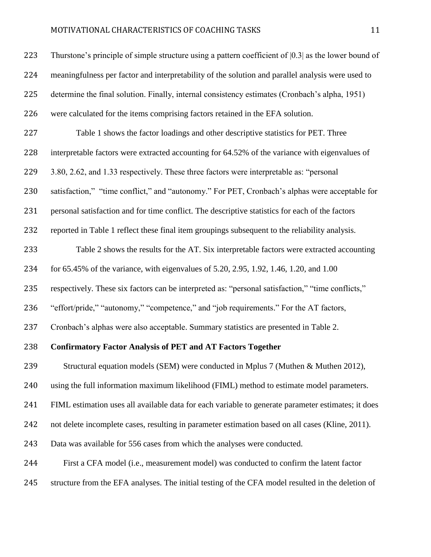| 223 | Thurstone's principle of simple structure using a pattern coefficient of $[0.3]$ as the lower bound of |
|-----|--------------------------------------------------------------------------------------------------------|
| 224 | meaningfulness per factor and interpretability of the solution and parallel analysis were used to      |
| 225 | determine the final solution. Finally, internal consistency estimates (Cronbach's alpha, 1951)         |
| 226 | were calculated for the items comprising factors retained in the EFA solution.                         |
| 227 | Table 1 shows the factor loadings and other descriptive statistics for PET. Three                      |
| 228 | interpretable factors were extracted accounting for 64.52% of the variance with eigenvalues of         |
| 229 | 3.80, 2.62, and 1.33 respectively. These three factors were interpretable as: "personal                |
| 230 | satisfaction," "time conflict," and "autonomy." For PET, Cronbach's alphas were acceptable for         |
| 231 | personal satisfaction and for time conflict. The descriptive statistics for each of the factors        |
| 232 | reported in Table 1 reflect these final item groupings subsequent to the reliability analysis.         |
| 233 | Table 2 shows the results for the AT. Six interpretable factors were extracted accounting              |
| 234 | for 65.45% of the variance, with eigenvalues of 5.20, 2.95, 1.92, 1.46, 1.20, and 1.00                 |
| 235 | respectively. These six factors can be interpreted as: "personal satisfaction," "time conflicts,"      |
| 236 | "effort/pride," "autonomy," "competence," and "job requirements." For the AT factors,                  |
| 237 | Cronbach's alphas were also acceptable. Summary statistics are presented in Table 2.                   |
| 238 | <b>Confirmatory Factor Analysis of PET and AT Factors Together</b>                                     |
| 239 | Structural equation models (SEM) were conducted in Mplus 7 (Muthen & Muthen 2012),                     |
| 240 | using the full information maximum likelihood (FIML) method to estimate model parameters.              |
| 241 | FIML estimation uses all available data for each variable to generate parameter estimates; it does     |
| 242 | not delete incomplete cases, resulting in parameter estimation based on all cases (Kline, 2011).       |
| 243 | Data was available for 556 cases from which the analyses were conducted.                               |
| 244 | First a CFA model (i.e., measurement model) was conducted to confirm the latent factor                 |
| 245 | structure from the EFA analyses. The initial testing of the CFA model resulted in the deletion of      |
|     |                                                                                                        |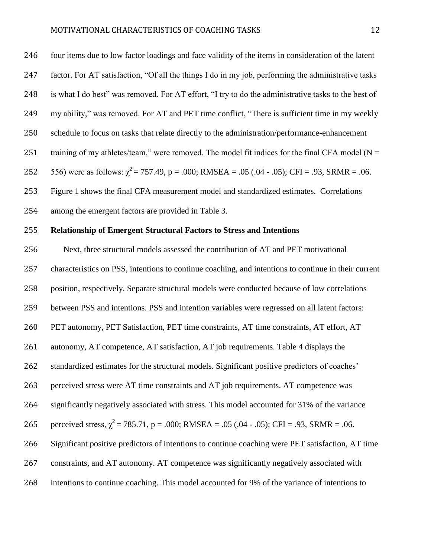| 246 | four items due to low factor loadings and face validity of the items in consideration of the latent |
|-----|-----------------------------------------------------------------------------------------------------|
| 247 | factor. For AT satisfaction, "Of all the things I do in my job, performing the administrative tasks |
| 248 | is what I do best" was removed. For AT effort, "I try to do the administrative tasks to the best of |
| 249 | my ability," was removed. For AT and PET time conflict, "There is sufficient time in my weekly      |
| 250 | schedule to focus on tasks that relate directly to the administration/performance-enhancement       |
| 251 | training of my athletes/team," were removed. The model fit indices for the final CFA model ( $N =$  |
| 252 | 556) were as follows: $\chi^2$ = 757.49, p = .000; RMSEA = .05 (.04 - .05); CFI = .93, SRMR = .06.  |
| 253 | Figure 1 shows the final CFA measurement model and standardized estimates. Correlations             |
| 254 | among the emergent factors are provided in Table 3.                                                 |
| 255 | <b>Relationship of Emergent Structural Factors to Stress and Intentions</b>                         |

 Next, three structural models assessed the contribution of AT and PET motivational characteristics on PSS, intentions to continue coaching, and intentions to continue in their current position, respectively. Separate structural models were conducted because of low correlations between PSS and intentions. PSS and intention variables were regressed on all latent factors: PET autonomy, PET Satisfaction, PET time constraints, AT time constraints, AT effort, AT autonomy, AT competence, AT satisfaction, AT job requirements. Table 4 displays the standardized estimates for the structural models. Significant positive predictors of coaches' perceived stress were AT time constraints and AT job requirements. AT competence was significantly negatively associated with stress. This model accounted for 31% of the variance 265 perceived stress,  $\chi^2 = 785.71$ , p = .000; RMSEA = .05 (.04 - .05); CFI = .93, SRMR = .06. Significant positive predictors of intentions to continue coaching were PET satisfaction, AT time constraints, and AT autonomy. AT competence was significantly negatively associated with intentions to continue coaching. This model accounted for 9% of the variance of intentions to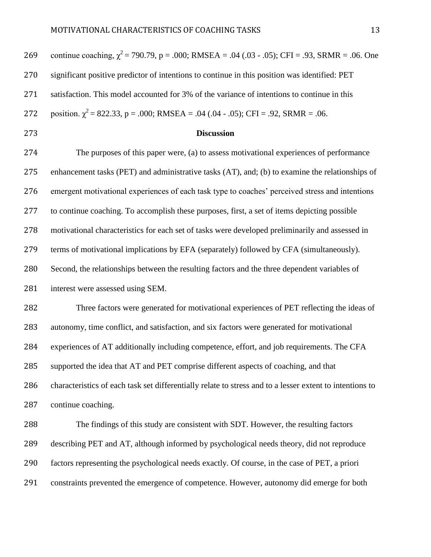| 269 | continue coaching, $\chi^2$ = 790.79, p = .000; RMSEA = .04 (.03 - .05); CFI = .93, SRMR = .06. One      |
|-----|----------------------------------------------------------------------------------------------------------|
| 270 | significant positive predictor of intentions to continue in this position was identified: PET            |
| 271 | satisfaction. This model accounted for 3% of the variance of intentions to continue in this              |
| 272 | position. $\chi^2$ = 822.33, p = .000; RMSEA = .04 (.04 - .05); CFI = .92, SRMR = .06.                   |
| 273 | <b>Discussion</b>                                                                                        |
| 274 | The purposes of this paper were, (a) to assess motivational experiences of performance                   |
| 275 | enhancement tasks (PET) and administrative tasks (AT), and; (b) to examine the relationships of          |
| 276 | emergent motivational experiences of each task type to coaches' perceived stress and intentions          |
| 277 | to continue coaching. To accomplish these purposes, first, a set of items depicting possible             |
| 278 | motivational characteristics for each set of tasks were developed preliminarily and assessed in          |
| 279 | terms of motivational implications by EFA (separately) followed by CFA (simultaneously).                 |
| 280 | Second, the relationships between the resulting factors and the three dependent variables of             |
| 281 | interest were assessed using SEM.                                                                        |
| 282 | Three factors were generated for motivational experiences of PET reflecting the ideas of                 |
| 283 | autonomy, time conflict, and satisfaction, and six factors were generated for motivational               |
| 284 | experiences of AT additionally including competence, effort, and job requirements. The CFA               |
| 285 | supported the idea that AT and PET comprise different aspects of coaching, and that                      |
| 286 | characteristics of each task set differentially relate to stress and to a lesser extent to intentions to |
| 287 | continue coaching.                                                                                       |
| 288 | The findings of this study are consistent with SDT. However, the resulting factors                       |
| 289 | describing PET and AT, although informed by psychological needs theory, did not reproduce                |
| 290 | factors representing the psychological needs exactly. Of course, in the case of PET, a priori            |
| 291 | constraints prevented the emergence of competence. However, autonomy did emerge for both                 |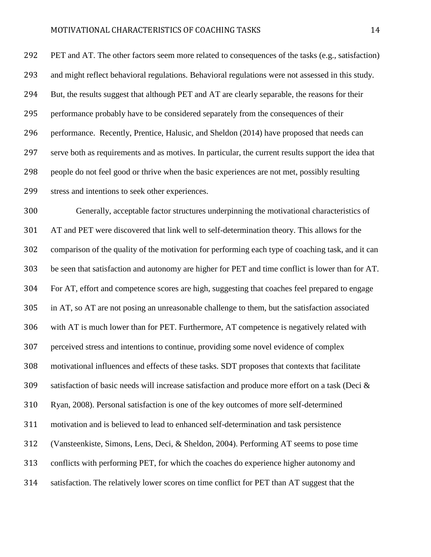PET and AT. The other factors seem more related to consequences of the tasks (e.g., satisfaction) and might reflect behavioral regulations. Behavioral regulations were not assessed in this study. But, the results suggest that although PET and AT are clearly separable, the reasons for their performance probably have to be considered separately from the consequences of their performance. Recently, Prentice, Halusic, and Sheldon (2014) have proposed that needs can serve both as requirements and as motives. In particular, the current results support the idea that people do not feel good or thrive when the basic experiences are not met, possibly resulting stress and intentions to seek other experiences.

 Generally, acceptable factor structures underpinning the motivational characteristics of AT and PET were discovered that link well to self-determination theory. This allows for the comparison of the quality of the motivation for performing each type of coaching task, and it can be seen that satisfaction and autonomy are higher for PET and time conflict is lower than for AT. For AT, effort and competence scores are high, suggesting that coaches feel prepared to engage in AT, so AT are not posing an unreasonable challenge to them, but the satisfaction associated with AT is much lower than for PET. Furthermore, AT competence is negatively related with perceived stress and intentions to continue, providing some novel evidence of complex motivational influences and effects of these tasks. SDT proposes that contexts that facilitate satisfaction of basic needs will increase satisfaction and produce more effort on a task (Deci & Ryan, 2008). Personal satisfaction is one of the key outcomes of more self-determined motivation and is believed to lead to enhanced self-determination and task persistence (Vansteenkiste, Simons, Lens, Deci, & Sheldon, 2004). Performing AT seems to pose time conflicts with performing PET, for which the coaches do experience higher autonomy and satisfaction. The relatively lower scores on time conflict for PET than AT suggest that the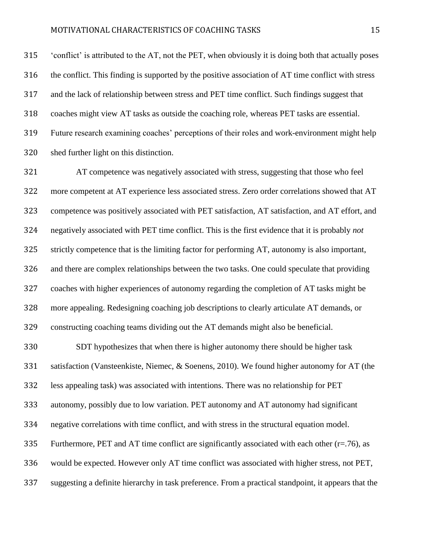'conflict' is attributed to the AT, not the PET, when obviously it is doing both that actually poses the conflict. This finding is supported by the positive association of AT time conflict with stress and the lack of relationship between stress and PET time conflict. Such findings suggest that coaches might view AT tasks as outside the coaching role, whereas PET tasks are essential. Future research examining coaches' perceptions of their roles and work-environment might help shed further light on this distinction.

 AT competence was negatively associated with stress, suggesting that those who feel more competent at AT experience less associated stress. Zero order correlations showed that AT competence was positively associated with PET satisfaction, AT satisfaction, and AT effort, and negatively associated with PET time conflict. This is the first evidence that it is probably *not* strictly competence that is the limiting factor for performing AT, autonomy is also important, and there are complex relationships between the two tasks. One could speculate that providing coaches with higher experiences of autonomy regarding the completion of AT tasks might be more appealing. Redesigning coaching job descriptions to clearly articulate AT demands, or constructing coaching teams dividing out the AT demands might also be beneficial.

 SDT hypothesizes that when there is higher autonomy there should be higher task satisfaction (Vansteenkiste, Niemec, & Soenens, 2010). We found higher autonomy for AT (the less appealing task) was associated with intentions. There was no relationship for PET autonomy, possibly due to low variation. PET autonomy and AT autonomy had significant negative correlations with time conflict, and with stress in the structural equation model. 335 Furthermore, PET and AT time conflict are significantly associated with each other ( $r=76$ ), as would be expected. However only AT time conflict was associated with higher stress, not PET, suggesting a definite hierarchy in task preference. From a practical standpoint, it appears that the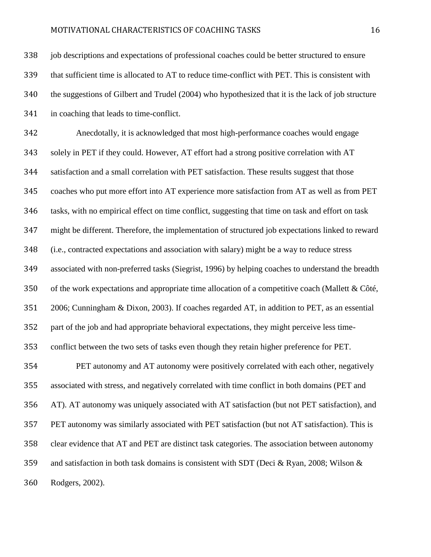job descriptions and expectations of professional coaches could be better structured to ensure that sufficient time is allocated to AT to reduce time-conflict with PET. This is consistent with the suggestions of Gilbert and Trudel (2004) who hypothesized that it is the lack of job structure in coaching that leads to time-conflict.

 Anecdotally, it is acknowledged that most high-performance coaches would engage solely in PET if they could. However, AT effort had a strong positive correlation with AT satisfaction and a small correlation with PET satisfaction. These results suggest that those coaches who put more effort into AT experience more satisfaction from AT as well as from PET tasks, with no empirical effect on time conflict, suggesting that time on task and effort on task might be different. Therefore, the implementation of structured job expectations linked to reward (i.e., contracted expectations and association with salary) might be a way to reduce stress associated with non-preferred tasks (Siegrist, 1996) by helping coaches to understand the breadth of the work expectations and appropriate time allocation of a competitive coach (Mallett & Côté, 2006; Cunningham & Dixon, 2003). If coaches regarded AT, in addition to PET, as an essential part of the job and had appropriate behavioral expectations, they might perceive less time- conflict between the two sets of tasks even though they retain higher preference for PET. PET autonomy and AT autonomy were positively correlated with each other, negatively associated with stress, and negatively correlated with time conflict in both domains (PET and AT). AT autonomy was uniquely associated with AT satisfaction (but not PET satisfaction), and PET autonomy was similarly associated with PET satisfaction (but not AT satisfaction). This is

clear evidence that AT and PET are distinct task categories. The association between autonomy

and satisfaction in both task domains is consistent with SDT (Deci & Ryan, 2008; Wilson &

Rodgers, 2002).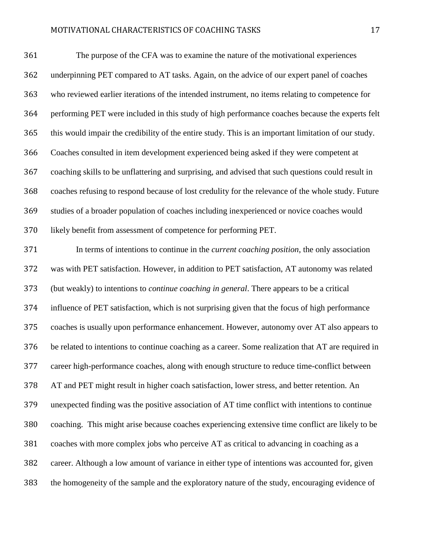The purpose of the CFA was to examine the nature of the motivational experiences underpinning PET compared to AT tasks. Again, on the advice of our expert panel of coaches who reviewed earlier iterations of the intended instrument, no items relating to competence for performing PET were included in this study of high performance coaches because the experts felt this would impair the credibility of the entire study. This is an important limitation of our study. Coaches consulted in item development experienced being asked if they were competent at coaching skills to be unflattering and surprising, and advised that such questions could result in coaches refusing to respond because of lost credulity for the relevance of the whole study. Future studies of a broader population of coaches including inexperienced or novice coaches would likely benefit from assessment of competence for performing PET.

 In terms of intentions to continue in the *current coaching position*, the only association was with PET satisfaction. However, in addition to PET satisfaction, AT autonomy was related (but weakly) to intentions to *continue coaching in general*. There appears to be a critical influence of PET satisfaction, which is not surprising given that the focus of high performance coaches is usually upon performance enhancement. However, autonomy over AT also appears to be related to intentions to continue coaching as a career. Some realization that AT are required in career high-performance coaches, along with enough structure to reduce time-conflict between AT and PET might result in higher coach satisfaction, lower stress, and better retention. An unexpected finding was the positive association of AT time conflict with intentions to continue coaching. This might arise because coaches experiencing extensive time conflict are likely to be coaches with more complex jobs who perceive AT as critical to advancing in coaching as a career. Although a low amount of variance in either type of intentions was accounted for, given the homogeneity of the sample and the exploratory nature of the study, encouraging evidence of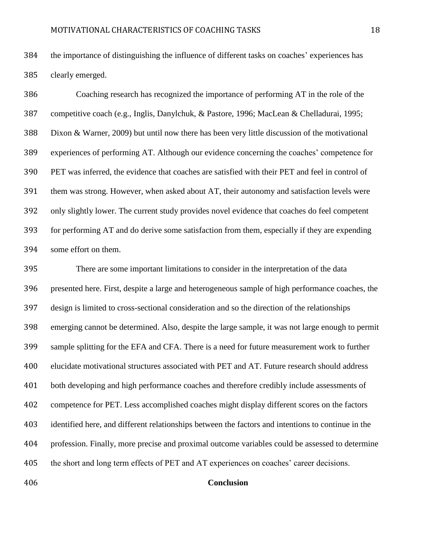the importance of distinguishing the influence of different tasks on coaches' experiences has clearly emerged.

 Coaching research has recognized the importance of performing AT in the role of the competitive coach (e.g., Inglis, Danylchuk, & Pastore, 1996; MacLean & Chelladurai, 1995; Dixon & Warner, 2009) but until now there has been very little discussion of the motivational experiences of performing AT. Although our evidence concerning the coaches' competence for PET was inferred, the evidence that coaches are satisfied with their PET and feel in control of them was strong. However, when asked about AT, their autonomy and satisfaction levels were only slightly lower. The current study provides novel evidence that coaches do feel competent for performing AT and do derive some satisfaction from them, especially if they are expending some effort on them.

 There are some important limitations to consider in the interpretation of the data presented here. First, despite a large and heterogeneous sample of high performance coaches, the design is limited to cross-sectional consideration and so the direction of the relationships emerging cannot be determined. Also, despite the large sample, it was not large enough to permit sample splitting for the EFA and CFA. There is a need for future measurement work to further elucidate motivational structures associated with PET and AT. Future research should address both developing and high performance coaches and therefore credibly include assessments of competence for PET. Less accomplished coaches might display different scores on the factors identified here, and different relationships between the factors and intentions to continue in the profession. Finally, more precise and proximal outcome variables could be assessed to determine the short and long term effects of PET and AT experiences on coaches' career decisions.

#### **Conclusion**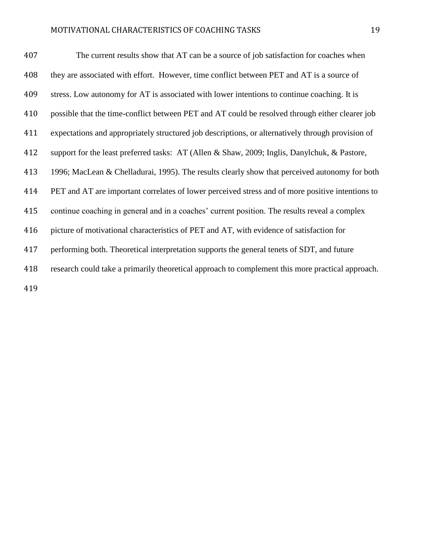| 407 | The current results show that AT can be a source of job satisfaction for coaches when             |
|-----|---------------------------------------------------------------------------------------------------|
| 408 | they are associated with effort. However, time conflict between PET and AT is a source of         |
| 409 | stress. Low autonomy for AT is associated with lower intentions to continue coaching. It is       |
| 410 | possible that the time-conflict between PET and AT could be resolved through either clearer job   |
| 411 | expectations and appropriately structured job descriptions, or alternatively through provision of |
| 412 | support for the least preferred tasks: AT (Allen & Shaw, 2009; Inglis, Danylchuk, & Pastore,      |
| 413 | 1996; MacLean & Chelladurai, 1995). The results clearly show that perceived autonomy for both     |
| 414 | PET and AT are important correlates of lower perceived stress and of more positive intentions to  |
| 415 | continue coaching in general and in a coaches' current position. The results reveal a complex     |
| 416 | picture of motivational characteristics of PET and AT, with evidence of satisfaction for          |
| 417 | performing both. Theoretical interpretation supports the general tenets of SDT, and future        |
| 418 | research could take a primarily theoretical approach to complement this more practical approach.  |
| 419 |                                                                                                   |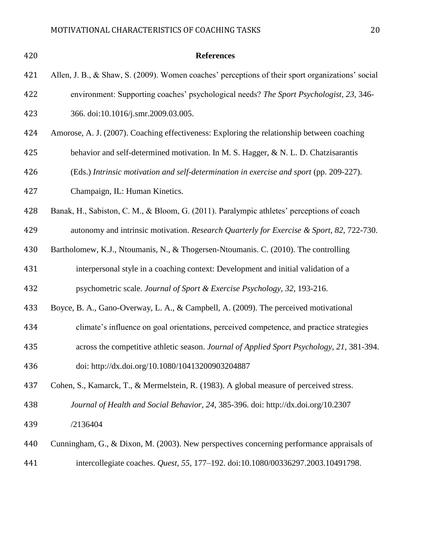| 420 | <b>References</b>                                                                                |
|-----|--------------------------------------------------------------------------------------------------|
| 421 | Allen, J. B., & Shaw, S. (2009). Women coaches' perceptions of their sport organizations' social |
| 422 | environment: Supporting coaches' psychological needs? The Sport Psychologist, 23, 346-           |
| 423 | 366. doi:10.1016/j.smr.2009.03.005.                                                              |
| 424 | Amorose, A. J. (2007). Coaching effectiveness: Exploring the relationship between coaching       |
| 425 | behavior and self-determined motivation. In M. S. Hagger, & N. L. D. Chatzisarantis              |
| 426 | (Eds.) Intrinsic motivation and self-determination in exercise and sport (pp. 209-227).          |
| 427 | Champaign, IL: Human Kinetics.                                                                   |
| 428 | Banak, H., Sabiston, C. M., & Bloom, G. (2011). Paralympic athletes' perceptions of coach        |
| 429 | autonomy and intrinsic motivation. Research Quarterly for Exercise & Sport, 82, 722-730.         |
| 430 | Bartholomew, K.J., Ntoumanis, N., & Thogersen-Ntoumanis. C. (2010). The controlling              |
| 431 | interpersonal style in a coaching context: Development and initial validation of a               |
| 432 | psychometric scale. Journal of Sport & Exercise Psychology, 32, 193-216.                         |
| 433 | Boyce, B. A., Gano-Overway, L. A., & Campbell, A. (2009). The perceived motivational             |
| 434 | climate's influence on goal orientations, perceived competence, and practice strategies          |
| 435 | across the competitive athletic season. Journal of Applied Sport Psychology, 21, 381-394.        |
| 436 | doi: http://dx.doi.org/10.1080/10413200903204887                                                 |
| 437 | Cohen, S., Kamarck, T., & Mermelstein, R. (1983). A global measure of perceived stress.          |
| 438 | Journal of Health and Social Behavior, 24, 385-396. doi: http://dx.doi.org/10.2307               |
| 439 | /2136404                                                                                         |
| 440 | Cunningham, G., & Dixon, M. (2003). New perspectives concerning performance appraisals of        |
| 441 | intercollegiate coaches. Quest, 55, 177-192. doi:10.1080/00336297.2003.10491798.                 |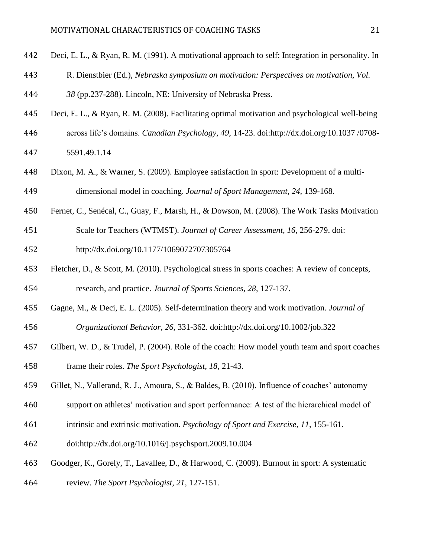- Deci, E. L., & Ryan, R. M. (1991). A motivational approach to self: Integration in personality. In
- R. Dienstbier (Ed.), *Nebraska symposium on motivation: Perspectives on motivation, Vol.*
- *38* (pp.237-288). Lincoln, NE: University of Nebraska Press.
- Deci, E. L., & Ryan, R. M. (2008). Facilitating optimal motivation and psychological well-being
- across life's domains. *Canadian Psychology, 49*, 14-23. doi:http://dx.doi.org/10.1037 /0708-
- 5591.49.1.14
- Dixon, M. A., & Warner, S. (2009). Employee satisfaction in sport: Development of a multi-dimensional model in coaching. *Journal of Sport Management, 24,* 139-168.
- Fernet, C., Senécal, C., Guay, F., Marsh, H., & Dowson, M. (2008). The Work Tasks Motivation
- Scale for Teachers (WTMST). *Journal of Career Assessment, 16*, 256-279. doi: http://dx.doi.org/10.1177/1069072707305764
- Fletcher, D., & Scott, M. (2010). Psychological stress in sports coaches: A review of concepts, research, and practice. *Journal of Sports Sciences, 28*, 127-137.
- Gagne, M., & Deci, E. L. (2005). Self-determination theory and work motivation. *Journal of Organizational Behavior, 26,* 331-362. doi:http://dx.doi.org/10.1002/job.322
- Gilbert, W. D., & Trudel, P. (2004). Role of the coach: How model youth team and sport coaches frame their roles. *The Sport Psychologist, 18*, 21-43.
- Gillet, N., Vallerand, R. J., Amoura, S., & Baldes, B. (2010). Influence of coaches' autonomy
- support on athletes' motivation and sport performance: A test of the hierarchical model of
- intrinsic and extrinsic motivation. *Psychology of Sport and Exercise, 11,* 155-161.
- doi:http://dx.doi.org/10.1016/j.psychsport.2009.10.004
- Goodger, K., Gorely, T., Lavallee, D., & Harwood, C. (2009). Burnout in sport: A systematic
- review. *The Sport Psychologist, 21,* 127-151.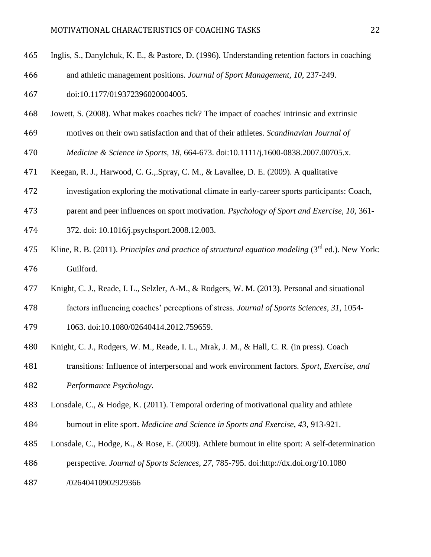- Inglis, S., Danylchuk, K. E., & Pastore, D. (1996). Understanding retention factors in coaching
- and athletic management positions. *Journal of Sport Management, 10*, 237-249.
- doi:10.1177/019372396020004005.
- Jowett, S. (2008). What makes coaches tick? The impact of coaches' intrinsic and extrinsic
- motives on their own satisfaction and that of their athletes. *Scandinavian Journal of*
- *Medicine & Science in Sports, 18*, 664-673. doi:10.1111/j.1600-0838.2007.00705.x.
- Keegan, R. J., Harwood, C. G.,.Spray, C. M., & Lavallee, D. E. (2009). A qualitative
- investigation exploring the motivational climate in early-career sports participants: Coach,
- parent and peer influences on sport motivation. *Psychology of Sport and Exercise, 10,* 361-
- 372. doi: 10.1016/j.psychsport.2008.12.003.
- 475 Kline, R. B. (2011). *Principles and practice of structural equation modeling* (3<sup>rd</sup> ed.). New York: Guilford.
- Knight, C. J., Reade, I. L., Selzler, A-M., & Rodgers, W. M. (2013). Personal and situational
- factors influencing coaches' perceptions of stress. *Journal of Sports Sciences, 31,* 1054-
- 1063. doi:10.1080/02640414.2012.759659.
- Knight, C. J., Rodgers, W. M., Reade, I. L., Mrak, J. M., & Hall, C. R. (in press). Coach
- transitions: Influence of interpersonal and work environment factors. *Sport, Exercise, and*
- *Performance Psychology.*
- Lonsdale, C., & Hodge, K. (2011). Temporal ordering of motivational quality and athlete
- burnout in elite sport. *Medicine and Science in Sports and Exercise, 43*, 913-921.
- Lonsdale, C., Hodge, K., & Rose, E. (2009). Athlete burnout in elite sport: A self-determination
- perspective. *Journal of Sports Sciences, 27*, 785-795. doi:http://dx.doi.org/10.1080
- /02640410902929366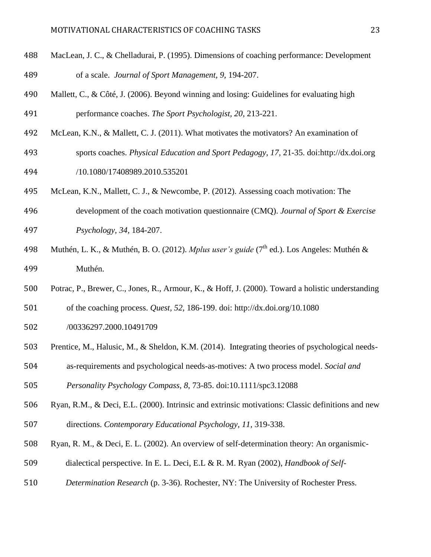- MacLean, J. C., & Chelladurai, P. (1995). Dimensions of coaching performance: Development of a scale. *Journal of Sport Management, 9,* 194-207.
- Mallett, C., & Côté, J. (2006). Beyond winning and losing: Guidelines for evaluating high performance coaches. *The Sport Psychologist, 20*, 213-221.
- McLean, K.N., & Mallett, C. J. (2011). What motivates the motivators? An examination of
- sports coaches. *Physical Education and Sport Pedagogy, 17,* 21-35. doi:http://dx.doi.org /10.1080/17408989.2010.535201
- McLean, K.N., Mallett, C. J., & Newcombe, P. (2012). Assessing coach motivation: The
- development of the coach motivation questionnaire (CMQ). *Journal of Sport & Exercise Psychology, 34,* 184-207.
- 498 Muthén, L. K., & Muthén, B. O. (2012). *Mplus user's guide* (7<sup>th</sup> ed.). Los Angeles: Muthén & Muthén.
- Potrac, P., Brewer, C., Jones, R., Armour, K., & Hoff, J. (2000). Toward a holistic understanding
- of the coaching process. *Quest, 52,* 186-199. doi: http://dx.doi.org/10.1080
- /00336297.2000.10491709
- Prentice, M., Halusic, M., & Sheldon, K.M. (2014). Integrating theories of psychological needs-
- as-requirements and psychological needs-as-motives: A two process model. *Social and*

*Personality Psychology Compass, 8,* 73-85. doi:10.1111/spc3.12088

- Ryan, R.M., & Deci, E.L. (2000). Intrinsic and extrinsic motivations: Classic definitions and new directions. *Contemporary Educational Psychology, 11,* 319-338.
- Ryan, R. M., & Deci, E. L. (2002). An overview of self-determination theory: An organismic-
- dialectical perspective. In E. L. Deci, E.L & R. M. Ryan (2002), *Handbook of Self-*
- 
- *Determination Research* (p. 3-36). Rochester, NY: The University of Rochester Press.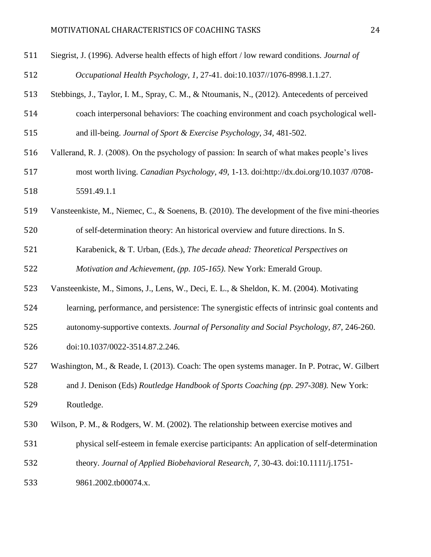| 511 | Siegrist, J. (1996). Adverse health effects of high effort / low reward conditions. Journal of |
|-----|------------------------------------------------------------------------------------------------|
| 512 | Occupational Health Psychology, 1, 27-41. doi:10.1037//1076-8998.1.1.27.                       |
| 513 | Stebbings, J., Taylor, I. M., Spray, C. M., & Ntoumanis, N., (2012). Antecedents of perceived  |
| 514 | coach interpersonal behaviors: The coaching environment and coach psychological well-          |
| 515 | and ill-being. Journal of Sport & Exercise Psychology, 34, 481-502.                            |
| 516 | Vallerand, R. J. (2008). On the psychology of passion: In search of what makes people's lives  |
| 517 | most worth living. Canadian Psychology, 49, 1-13. doi:http://dx.doi.org/10.1037 /0708-         |
| 518 | 5591.49.1.1                                                                                    |
| 519 | Vansteenkiste, M., Niemec, C., & Soenens, B. (2010). The development of the five mini-theories |
| 520 | of self-determination theory: An historical overview and future directions. In S.              |
| 521 | Karabenick, & T. Urban, (Eds.), The decade ahead: Theoretical Perspectives on                  |
| 522 | Motivation and Achievement, (pp. 105-165). New York: Emerald Group.                            |
| 523 | Vansteenkiste, M., Simons, J., Lens, W., Deci, E. L., & Sheldon, K. M. (2004). Motivating      |
| 524 | learning, performance, and persistence: The synergistic effects of intrinsic goal contents and |
| 525 | autonomy-supportive contexts. Journal of Personality and Social Psychology, 87, 246-260.       |
| 526 | doi:10.1037/0022-3514.87.2.246.                                                                |
| 527 | Washington, M., & Reade, I. (2013). Coach: The open systems manager. In P. Potrac, W. Gilbert  |
| 528 | and J. Denison (Eds) Routledge Handbook of Sports Coaching (pp. 297-308). New York:            |
| 529 | Routledge.                                                                                     |
| 530 | Wilson, P. M., & Rodgers, W. M. (2002). The relationship between exercise motives and          |
| 531 | physical self-esteem in female exercise participants: An application of self-determination     |
| 532 | theory. Journal of Applied Biobehavioral Research, 7, 30-43. doi:10.1111/j.1751-               |
| 533 | 9861.2002.tb00074.x.                                                                           |
|     |                                                                                                |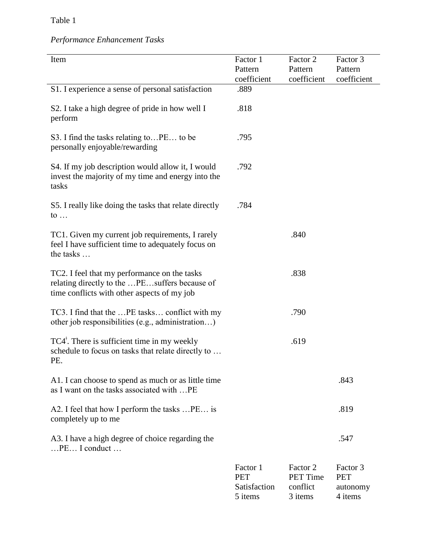# Table 1

# *Performance Enhancement Tasks*

| Item                                                                                                                                         | Factor 1<br>Pattern<br>coefficient                | Factor 2<br>Pattern<br>coefficient                 | Factor 3<br>Pattern<br>coefficient            |
|----------------------------------------------------------------------------------------------------------------------------------------------|---------------------------------------------------|----------------------------------------------------|-----------------------------------------------|
| S1. I experience a sense of personal satisfaction                                                                                            | .889                                              |                                                    |                                               |
| S2. I take a high degree of pride in how well I<br>perform                                                                                   | .818                                              |                                                    |                                               |
| S3. I find the tasks relating toPE to be<br>personally enjoyable/rewarding                                                                   | .795                                              |                                                    |                                               |
| S4. If my job description would allow it, I would<br>invest the majority of my time and energy into the<br>tasks                             | .792                                              |                                                    |                                               |
| S5. I really like doing the tasks that relate directly<br>to $\ldots$                                                                        | .784                                              |                                                    |                                               |
| TC1. Given my current job requirements, I rarely<br>feel I have sufficient time to adequately focus on<br>the tasks                          |                                                   | .840                                               |                                               |
| TC2. I feel that my performance on the tasks<br>relating directly to the PEsuffers because of<br>time conflicts with other aspects of my job |                                                   | .838                                               |                                               |
| TC3. I find that the  PE tasks conflict with my<br>other job responsibilities (e.g., administration)                                         |                                                   | .790                                               |                                               |
| $TC4^{\dagger}$ . There is sufficient time in my weekly<br>schedule to focus on tasks that relate directly to<br>PE.                         |                                                   | .619                                               |                                               |
| A1. I can choose to spend as much or as little time<br>as I want on the tasks associated with  PE                                            |                                                   |                                                    | .843                                          |
| A2. I feel that how I perform the tasks  PE is<br>completely up to me                                                                        |                                                   |                                                    | .819                                          |
| A3. I have a high degree of choice regarding the<br>$$ PE $$ I conduct $$                                                                    |                                                   |                                                    | .547                                          |
|                                                                                                                                              | Factor 1<br><b>PET</b><br>Satisfaction<br>5 items | Factor 2<br><b>PET Time</b><br>conflict<br>3 items | Factor 3<br><b>PET</b><br>autonomy<br>4 items |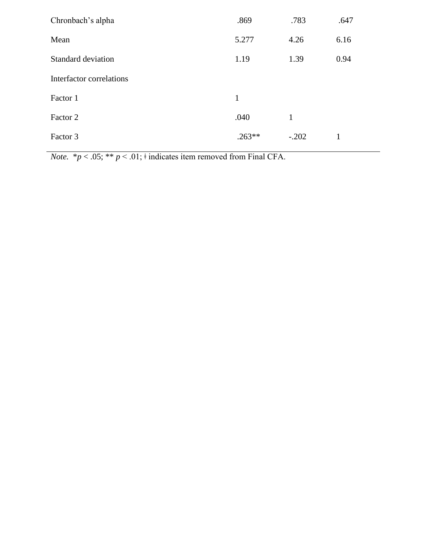| Chronbach's alpha         | .869     | .783    | .647 |
|---------------------------|----------|---------|------|
| Mean                      | 5.277    | 4.26    | 6.16 |
| <b>Standard deviation</b> | 1.19     | 1.39    | 0.94 |
| Interfactor correlations  |          |         |      |
| Factor 1                  | 1        |         |      |
| Factor 2                  | .040     | 1       |      |
| Factor 3                  | $.263**$ | $-.202$ | 1    |

*Note.* \* $p < .05$ ; \*\*  $p < .01$ ;  $\dagger$  indicates item removed from Final CFA.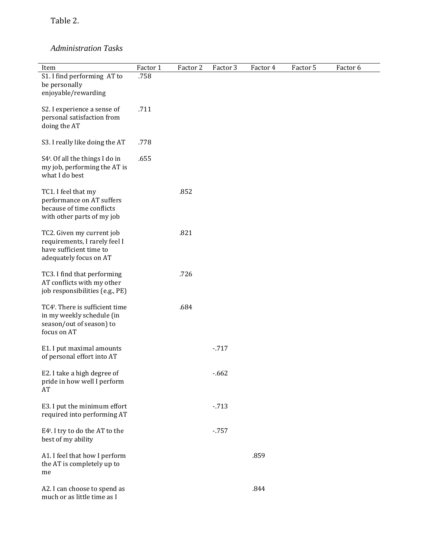Table 2.

# *Administration Tasks*

| Item                                                        | Factor 1 | Factor 2 | Factor 3 | Factor 4 | Factor 5 | Factor 6 |  |
|-------------------------------------------------------------|----------|----------|----------|----------|----------|----------|--|
| S1. I find performing AT to                                 | .758     |          |          |          |          |          |  |
| be personally                                               |          |          |          |          |          |          |  |
| enjoyable/rewarding                                         |          |          |          |          |          |          |  |
| S2. I experience a sense of                                 | .711     |          |          |          |          |          |  |
| personal satisfaction from                                  |          |          |          |          |          |          |  |
| doing the AT                                                |          |          |          |          |          |          |  |
|                                                             |          |          |          |          |          |          |  |
| S3. I really like doing the AT                              | .778     |          |          |          |          |          |  |
|                                                             |          |          |          |          |          |          |  |
| S4 <sup>+</sup> . Of all the things I do in                 | .655     |          |          |          |          |          |  |
| my job, performing the AT is                                |          |          |          |          |          |          |  |
| what I do best                                              |          |          |          |          |          |          |  |
| TC1. I feel that my                                         |          | .852     |          |          |          |          |  |
| performance on AT suffers                                   |          |          |          |          |          |          |  |
| because of time conflicts                                   |          |          |          |          |          |          |  |
| with other parts of my job                                  |          |          |          |          |          |          |  |
|                                                             |          |          |          |          |          |          |  |
| TC2. Given my current job                                   |          | .821     |          |          |          |          |  |
| requirements, I rarely feel I<br>have sufficient time to    |          |          |          |          |          |          |  |
| adequately focus on AT                                      |          |          |          |          |          |          |  |
|                                                             |          |          |          |          |          |          |  |
| TC3. I find that performing                                 |          | .726     |          |          |          |          |  |
| AT conflicts with my other                                  |          |          |          |          |          |          |  |
| job responsibilities (e.g., PE)                             |          |          |          |          |          |          |  |
|                                                             |          |          |          |          |          |          |  |
| TC4 <sup>+</sup> . There is sufficient time                 |          | .684     |          |          |          |          |  |
| in my weekly schedule (in                                   |          |          |          |          |          |          |  |
| season/out of season) to<br>focus on AT                     |          |          |          |          |          |          |  |
|                                                             |          |          |          |          |          |          |  |
| E1. I put maximal amounts                                   |          |          | $-717$   |          |          |          |  |
| of personal effort into AT                                  |          |          |          |          |          |          |  |
|                                                             |          |          |          |          |          |          |  |
| E2. I take a high degree of                                 |          |          | $-662$   |          |          |          |  |
| pride in how well I perform                                 |          |          |          |          |          |          |  |
| AT                                                          |          |          |          |          |          |          |  |
|                                                             |          |          |          |          |          |          |  |
| E3. I put the minimum effort<br>required into performing AT |          |          | $-713$   |          |          |          |  |
|                                                             |          |          |          |          |          |          |  |
| E4 <sup>+</sup> . I try to do the AT to the                 |          |          | $-757$   |          |          |          |  |
| best of my ability                                          |          |          |          |          |          |          |  |
|                                                             |          |          |          |          |          |          |  |
| A1. I feel that how I perform                               |          |          |          | .859     |          |          |  |
| the AT is completely up to                                  |          |          |          |          |          |          |  |
| me                                                          |          |          |          |          |          |          |  |
|                                                             |          |          |          |          |          |          |  |
| A2. I can choose to spend as<br>much or as little time as I |          |          |          | .844     |          |          |  |
|                                                             |          |          |          |          |          |          |  |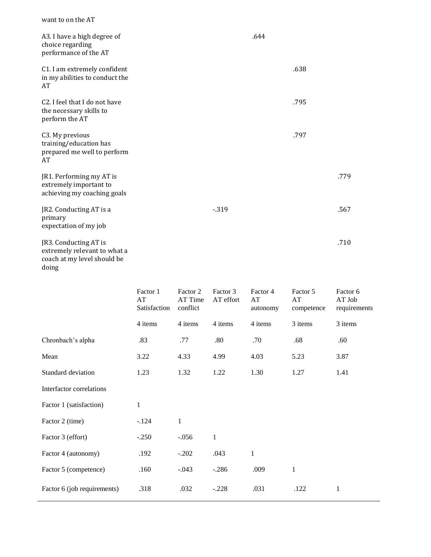| A3. I have a high degree of                                                                   |        | .644 |      |      |
|-----------------------------------------------------------------------------------------------|--------|------|------|------|
| choice regarding<br>performance of the AT                                                     |        |      |      |      |
| C1. I am extremely confident<br>in my abilities to conduct the<br>AT                          |        |      | .638 |      |
| C <sub>2</sub> . I feel that I do not have<br>the necessary skills to<br>perform the AT       |        |      | .795 |      |
| C3. My previous<br>training/education has<br>prepared me well to perform<br>AT                |        |      | .797 |      |
| JR1. Performing my AT is<br>extremely important to<br>achieving my coaching goals             |        |      |      | .779 |
| JR2. Conducting AT is a<br>primary<br>expectation of my job                                   | $-319$ |      |      | .567 |
| JR3. Conducting AT is<br>extremely relevant to what a<br>coach at my level should be<br>doing |        |      |      | .710 |

|                             | Factor 1<br>AT<br>Satisfaction | Factor 2<br>AT Time<br>conflict | Factor 3<br>AT effort | Factor 4<br>AT<br>autonomy | Factor 5<br>AT<br>competence | Factor 6<br>AT Job<br>requirements |
|-----------------------------|--------------------------------|---------------------------------|-----------------------|----------------------------|------------------------------|------------------------------------|
|                             | 4 items                        | 4 items                         | 4 items               | 4 items                    | 3 items                      | 3 items                            |
| Chronbach's alpha           | .83                            | .77                             | .80                   | .70                        | .68                          | .60                                |
| Mean                        | 3.22                           | 4.33                            | 4.99                  | 4.03                       | 5.23                         | 3.87                               |
| Standard deviation          | 1.23                           | 1.32                            | 1.22                  | 1.30                       | 1.27                         | 1.41                               |
| Interfactor correlations    |                                |                                 |                       |                            |                              |                                    |
| Factor 1 (satisfaction)     | $\mathbf{1}$                   |                                 |                       |                            |                              |                                    |
| Factor 2 (time)             | $-.124$                        | 1                               |                       |                            |                              |                                    |
| Factor 3 (effort)           | $-.250$                        | $-.056$                         | $\mathbf{1}$          |                            |                              |                                    |
| Factor 4 (autonomy)         | .192                           | $-.202$                         | .043                  | $\mathbf{1}$               |                              |                                    |
| Factor 5 (competence)       | .160                           | $-.043$                         | $-.286$               | .009                       | $\mathbf{1}$                 |                                    |
| Factor 6 (job requirements) | .318                           | .032                            | $-.228$               | .031                       | .122                         | $\mathbf{1}$                       |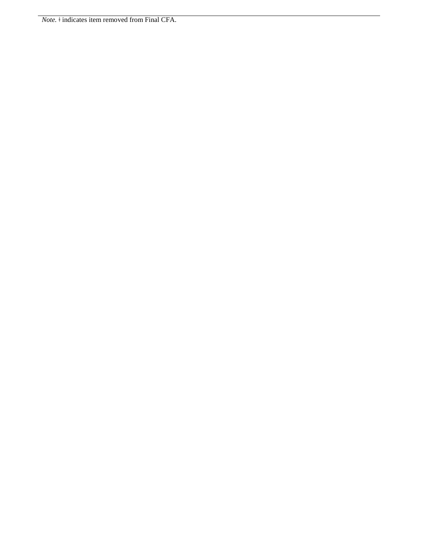*Note.* <sup>↓</sup> indicates item removed from Final CFA.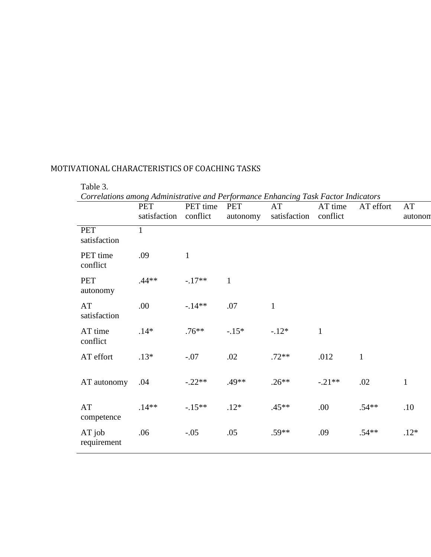| Correlations among Administrative and Performance Enhancing Task Factor Indicators | <b>PET</b><br>satisfaction | PET time<br>conflict | <b>PET</b><br>autonomy | AT<br>satisfaction | AT time<br>conflict | AT effort | AT<br>autonon |
|------------------------------------------------------------------------------------|----------------------------|----------------------|------------------------|--------------------|---------------------|-----------|---------------|
| <b>PET</b><br>satisfaction                                                         | $\mathbf{1}$               |                      |                        |                    |                     |           |               |
| PET time<br>conflict                                                               | .09                        | $\mathbf{1}$         |                        |                    |                     |           |               |
| <b>PET</b><br>autonomy                                                             | $.44**$                    | $-.17**$             | $\mathbf{1}$           |                    |                     |           |               |
| AT<br>satisfaction                                                                 | .00                        | $-14**$              | $.07$                  | $\mathbf{1}$       |                     |           |               |
| AT time<br>conflict                                                                | $.14*$                     | $.76**$              | $-.15*$                | $-.12*$            | $\mathbf{1}$        |           |               |
| AT effort                                                                          | $.13*$                     | $-.07$               | .02                    | $.72**$            | .012                | $1\,$     |               |
| AT autonomy                                                                        | .04                        | $-.22**$             | .49**                  | $.26**$            | $-.21**$            | .02       | $\mathbf{1}$  |
| AT<br>competence                                                                   | $.14**$                    | $-.15**$             | $.12*$                 | $.45**$            | .00                 | $.54**$   | .10           |
| $AT$ job<br>requirement                                                            | .06                        | $-.05$               | .05                    | $.59**$            | .09                 | $.54**$   | $.12*$        |

Table 3.